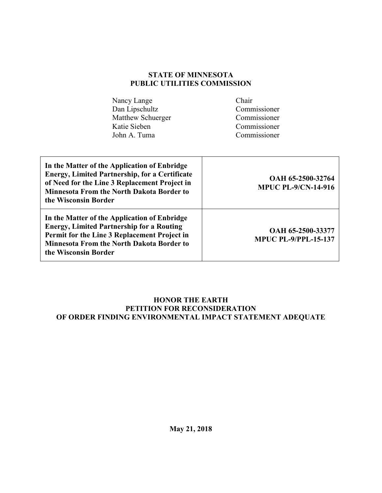### **STATE OF MINNESOTA PUBLIC UTILITIES COMMISSION**

| Nancy Lange       | Chair        |
|-------------------|--------------|
| Dan Lipschultz    | Commissioner |
| Matthew Schuerger | Commissioner |
| Katie Sieben      | Commissioner |
| John A. Tuma      | Commissioner |

| In the Matter of the Application of Enbridge<br><b>Energy, Limited Partnership, for a Certificate</b><br>of Need for the Line 3 Replacement Project in<br><b>Minnesota From the North Dakota Border to</b><br>the Wisconsin Border | OAH 65-2500-32764<br><b>MPUC PL-9/CN-14-916</b>  |
|------------------------------------------------------------------------------------------------------------------------------------------------------------------------------------------------------------------------------------|--------------------------------------------------|
| In the Matter of the Application of Enbridge<br><b>Energy, Limited Partnership for a Routing</b><br>Permit for the Line 3 Replacement Project in<br><b>Minnesota From the North Dakota Border to</b><br>the Wisconsin Border       | OAH 65-2500-33377<br><b>MPUC PL-9/PPL-15-137</b> |

### **HONOR THE EARTH PETITION FOR RECONSIDERATION OF ORDER FINDING ENVIRONMENTAL IMPACT STATEMENT ADEQUATE**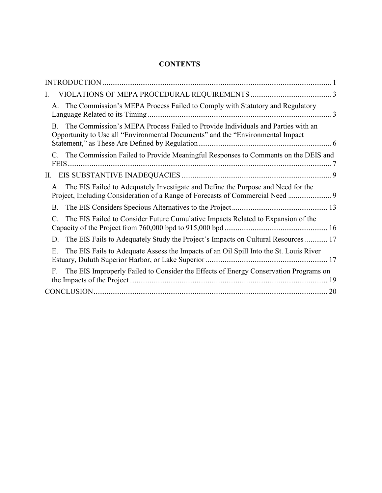# **CONTENTS**

| Ι.                                                                                                                                                                       |
|--------------------------------------------------------------------------------------------------------------------------------------------------------------------------|
| The Commission's MEPA Process Failed to Comply with Statutory and Regulatory<br>$A_{-}$                                                                                  |
| The Commission's MEPA Process Failed to Provide Individuals and Parties with an<br>B.<br>Opportunity to Use all "Environmental Documents" and the "Environmental Impact" |
| The Commission Failed to Provide Meaningful Responses to Comments on the DEIS and                                                                                        |
| П.                                                                                                                                                                       |
| A. The EIS Failed to Adequately Investigate and Define the Purpose and Need for the                                                                                      |
| <b>B</b> .                                                                                                                                                               |
| The EIS Failed to Consider Future Cumulative Impacts Related to Expansion of the<br>$\mathcal{C}$ .                                                                      |
| The EIS Fails to Adequately Study the Project's Impacts on Cultural Resources  17<br>D.                                                                                  |
| Ε.<br>The EIS Fails to Adequate Assess the Impacts of an Oil Spill Into the St. Louis River                                                                              |
| The EIS Improperly Failed to Consider the Effects of Energy Conservation Programs on<br>F.                                                                               |
| 20                                                                                                                                                                       |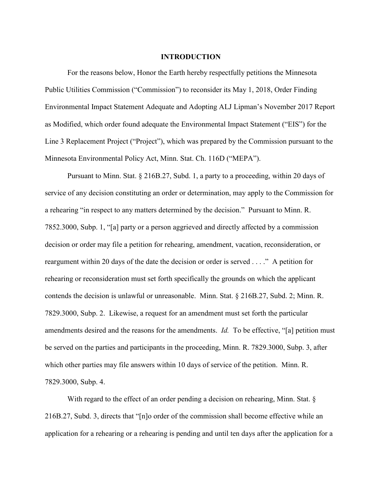#### **INTRODUCTION**

For the reasons below, Honor the Earth hereby respectfully petitions the Minnesota Public Utilities Commission ("Commission") to reconsider its May 1, 2018, Order Finding Environmental Impact Statement Adequate and Adopting ALJ Lipman's November 2017 Report as Modified, which order found adequate the Environmental Impact Statement ("EIS") for the Line 3 Replacement Project ("Project"), which was prepared by the Commission pursuant to the Minnesota Environmental Policy Act, Minn. Stat. Ch. 116D ("MEPA").

Pursuant to Minn. Stat. § 216B.27, Subd. 1, a party to a proceeding, within 20 days of service of any decision constituting an order or determination, may apply to the Commission for a rehearing "in respect to any matters determined by the decision." Pursuant to Minn. R. 7852.3000, Subp. 1, "[a] party or a person aggrieved and directly affected by a commission decision or order may file a petition for rehearing, amendment, vacation, reconsideration, or reargument within 20 days of the date the decision or order is served . . . ." A petition for rehearing or reconsideration must set forth specifically the grounds on which the applicant contends the decision is unlawful or unreasonable. Minn. Stat. § 216B.27, Subd. 2; Minn. R. 7829.3000, Subp. 2. Likewise, a request for an amendment must set forth the particular amendments desired and the reasons for the amendments. *Id.* To be effective, "[a] petition must be served on the parties and participants in the proceeding, Minn. R. 7829.3000, Subp. 3, after which other parties may file answers within 10 days of service of the petition. Minn. R. 7829.3000, Subp. 4.

With regard to the effect of an order pending a decision on rehearing, Minn. Stat. § 216B.27, Subd. 3, directs that "[n]o order of the commission shall become effective while an application for a rehearing or a rehearing is pending and until ten days after the application for a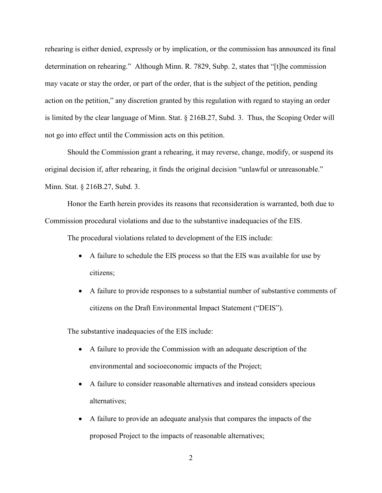rehearing is either denied, expressly or by implication, or the commission has announced its final determination on rehearing." Although Minn. R. 7829, Subp. 2, states that "[t]he commission may vacate or stay the order, or part of the order, that is the subject of the petition, pending action on the petition," any discretion granted by this regulation with regard to staying an order is limited by the clear language of Minn. Stat. § 216B.27, Subd. 3. Thus, the Scoping Order will not go into effect until the Commission acts on this petition.

Should the Commission grant a rehearing, it may reverse, change, modify, or suspend its original decision if, after rehearing, it finds the original decision "unlawful or unreasonable." Minn. Stat. § 216B.27, Subd. 3.

Honor the Earth herein provides its reasons that reconsideration is warranted, both due to Commission procedural violations and due to the substantive inadequacies of the EIS.

The procedural violations related to development of the EIS include:

- A failure to schedule the EIS process so that the EIS was available for use by citizens;
- A failure to provide responses to a substantial number of substantive comments of citizens on the Draft Environmental Impact Statement ("DEIS").

The substantive inadequacies of the EIS include:

- A failure to provide the Commission with an adequate description of the environmental and socioeconomic impacts of the Project;
- A failure to consider reasonable alternatives and instead considers specious alternatives;
- A failure to provide an adequate analysis that compares the impacts of the proposed Project to the impacts of reasonable alternatives;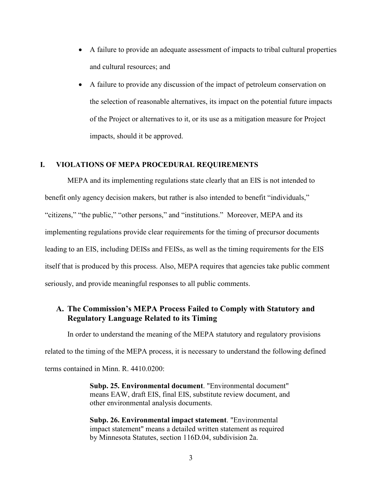- A failure to provide an adequate assessment of impacts to tribal cultural properties and cultural resources; and
- A failure to provide any discussion of the impact of petroleum conservation on the selection of reasonable alternatives, its impact on the potential future impacts of the Project or alternatives to it, or its use as a mitigation measure for Project impacts, should it be approved.

#### **I. VIOLATIONS OF MEPA PROCEDURAL REQUIREMENTS**

MEPA and its implementing regulations state clearly that an EIS is not intended to benefit only agency decision makers, but rather is also intended to benefit "individuals," "citizens," "the public," "other persons," and "institutions." Moreover, MEPA and its implementing regulations provide clear requirements for the timing of precursor documents leading to an EIS, including DEISs and FEISs, as well as the timing requirements for the EIS itself that is produced by this process. Also, MEPA requires that agencies take public comment seriously, and provide meaningful responses to all public comments.

# **A. The Commission's MEPA Process Failed to Comply with Statutory and Regulatory Language Related to its Timing**

In order to understand the meaning of the MEPA statutory and regulatory provisions related to the timing of the MEPA process, it is necessary to understand the following defined terms contained in Minn. R. 4410.0200:

> **Subp. 25. Environmental document**. "Environmental document" means EAW, draft EIS, final EIS, substitute review document, and other environmental analysis documents.

**Subp. 26. Environmental impact statement**. "Environmental impact statement" means a detailed written statement as required by Minnesota Statutes, section 116D.04, subdivision 2a.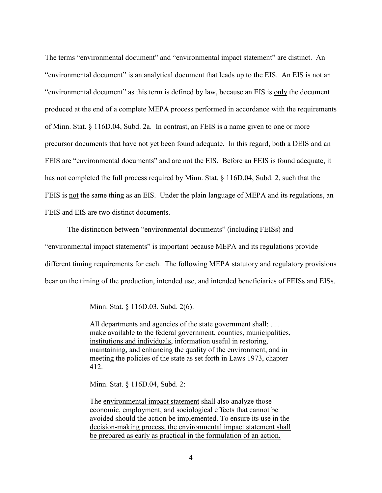The terms "environmental document" and "environmental impact statement" are distinct. An "environmental document" is an analytical document that leads up to the EIS. An EIS is not an "environmental document" as this term is defined by law, because an EIS is only the document produced at the end of a complete MEPA process performed in accordance with the requirements of Minn. Stat. § 116D.04, Subd. 2a. In contrast, an FEIS is a name given to one or more precursor documents that have not yet been found adequate. In this regard, both a DEIS and an FEIS are "environmental documents" and are not the EIS. Before an FEIS is found adequate, it has not completed the full process required by Minn. Stat. § 116D.04, Subd. 2, such that the FEIS is not the same thing as an EIS. Under the plain language of MEPA and its regulations, an FEIS and EIS are two distinct documents.

The distinction between "environmental documents" (including FEISs) and "environmental impact statements" is important because MEPA and its regulations provide different timing requirements for each. The following MEPA statutory and regulatory provisions bear on the timing of the production, intended use, and intended beneficiaries of FEISs and EISs.

Minn. Stat. § 116D.03, Subd. 2(6):

All departments and agencies of the state government shall: ... make available to the federal government, counties, municipalities, institutions and individuals, information useful in restoring, maintaining, and enhancing the quality of the environment, and in meeting the policies of the state as set forth in Laws 1973, chapter 412.

Minn. Stat. § 116D.04, Subd. 2:

The environmental impact statement shall also analyze those economic, employment, and sociological effects that cannot be avoided should the action be implemented. To ensure its use in the decision-making process, the environmental impact statement shall be prepared as early as practical in the formulation of an action.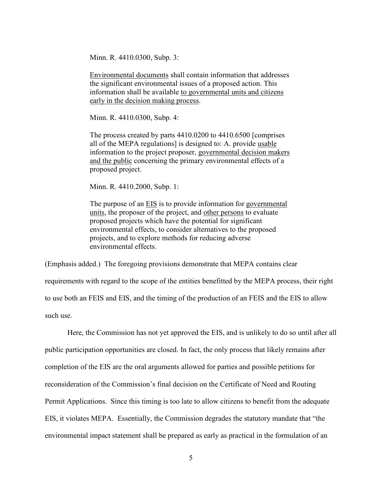Minn. R. 4410.0300, Subp. 3:

Environmental documents shall contain information that addresses the significant environmental issues of a proposed action. This information shall be available to governmental units and citizens early in the decision making process.

Minn. R. 4410.0300, Subp. 4:

The process created by parts 4410.0200 to 4410.6500 [comprises all of the MEPA regulations] is designed to: A. provide usable information to the project proposer, governmental decision makers and the public concerning the primary environmental effects of a proposed project.

Minn. R. 4410.2000, Subp. 1:

The purpose of an **EIS** is to provide information for governmental units, the proposer of the project, and other persons to evaluate proposed projects which have the potential for significant environmental effects, to consider alternatives to the proposed projects, and to explore methods for reducing adverse environmental effects.

(Emphasis added.) The foregoing provisions demonstrate that MEPA contains clear

requirements with regard to the scope of the entities benefitted by the MEPA process, their right to use both an FEIS and EIS, and the timing of the production of an FEIS and the EIS to allow such use.

 Here, the Commission has not yet approved the EIS, and is unlikely to do so until after all public participation opportunities are closed. In fact, the only process that likely remains after completion of the EIS are the oral arguments allowed for parties and possible petitions for reconsideration of the Commission's final decision on the Certificate of Need and Routing Permit Applications. Since this timing is too late to allow citizens to benefit from the adequate EIS, it violates MEPA. Essentially, the Commission degrades the statutory mandate that "the environmental impact statement shall be prepared as early as practical in the formulation of an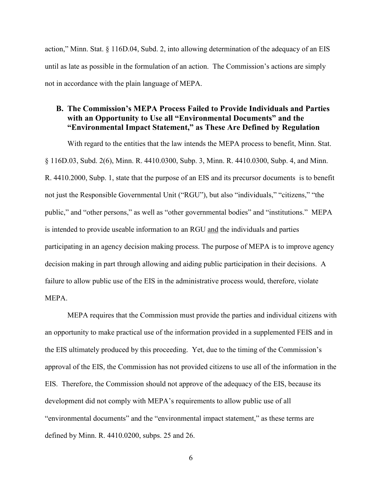action," Minn. Stat. § 116D.04, Subd. 2, into allowing determination of the adequacy of an EIS until as late as possible in the formulation of an action. The Commission's actions are simply not in accordance with the plain language of MEPA.

### **B. The Commission's MEPA Process Failed to Provide Individuals and Parties with an Opportunity to Use all "Environmental Documents" and the "Environmental Impact Statement," as These Are Defined by Regulation**

With regard to the entities that the law intends the MEPA process to benefit, Minn. Stat. § 116D.03, Subd. 2(6), Minn. R. 4410.0300, Subp. 3, Minn. R. 4410.0300, Subp. 4, and Minn. R. 4410.2000, Subp. 1, state that the purpose of an EIS and its precursor documents is to benefit not just the Responsible Governmental Unit ("RGU"), but also "individuals," "citizens," "the public," and "other persons," as well as "other governmental bodies" and "institutions." MEPA is intended to provide useable information to an RGU and the individuals and parties participating in an agency decision making process. The purpose of MEPA is to improve agency decision making in part through allowing and aiding public participation in their decisions. A failure to allow public use of the EIS in the administrative process would, therefore, violate MEPA.

MEPA requires that the Commission must provide the parties and individual citizens with an opportunity to make practical use of the information provided in a supplemented FEIS and in the EIS ultimately produced by this proceeding. Yet, due to the timing of the Commission's approval of the EIS, the Commission has not provided citizens to use all of the information in the EIS. Therefore, the Commission should not approve of the adequacy of the EIS, because its development did not comply with MEPA's requirements to allow public use of all "environmental documents" and the "environmental impact statement," as these terms are defined by Minn. R. 4410.0200, subps. 25 and 26.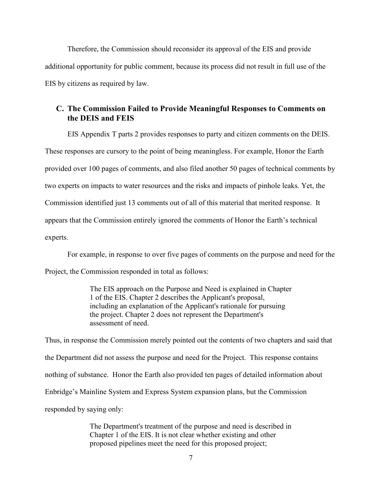Therefore, the Commission should reconsider its approval of the EIS and provide additional opportunity for public comment, because its process did not result in full use of the EIS by citizens as required by law.

# **C. The Commission Failed to Provide Meaningful Responses to Comments on the DEIS and FEIS**

EIS Appendix T parts 2 provides responses to party and citizen comments on the DEIS. These responses are cursory to the point of being meaningless. For example, Honor the Earth provided over 100 pages of comments, and also filed another 50 pages of technical comments by two experts on impacts to water resources and the risks and impacts of pinhole leaks. Yet, the Commission identified just 13 comments out of all of this material that merited response. It appears that the Commission entirely ignored the comments of Honor the Earth's technical experts.

For example, in response to over five pages of comments on the purpose and need for the

Project, the Commission responded in total as follows:

The EIS approach on the Purpose and Need is explained in Chapter 1 of the EIS. Chapter 2 describes the Applicant's proposal, including an explanation of the Applicant's rationale for pursuing the project. Chapter 2 does not represent the Department's assessment of need.

Thus, in response the Commission merely pointed out the contents of two chapters and said that the Department did not assess the purpose and need for the Project. This response contains nothing of substance. Honor the Earth also provided ten pages of detailed information about Enbridge's Mainline System and Express System expansion plans, but the Commission responded by saying only:

> The Department's treatment of the purpose and need is described in Chapter 1 of the EIS. It is not clear whether existing and other proposed pipelines meet the need for this proposed project;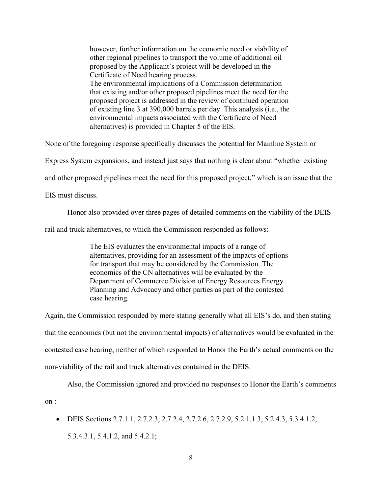however, further information on the economic need or viability of other regional pipelines to transport the volume of additional oil proposed by the Applicant's project will be developed in the Certificate of Need hearing process. The environmental implications of a Commission determination that existing and/or other proposed pipelines meet the need for the proposed project is addressed in the review of continued operation of existing line 3 at 390,000 barrels per day. This analysis (i.e., the environmental impacts associated with the Certificate of Need alternatives) is provided in Chapter 5 of the EIS.

None of the foregoing response specifically discusses the potential for Mainline System or

Express System expansions, and instead just says that nothing is clear about "whether existing

and other proposed pipelines meet the need for this proposed project," which is an issue that the

EIS must discuss.

on :

Honor also provided over three pages of detailed comments on the viability of the DEIS

rail and truck alternatives, to which the Commission responded as follows:

The EIS evaluates the environmental impacts of a range of alternatives, providing for an assessment of the impacts of options for transport that may be considered by the Commission. The economics of the CN alternatives will be evaluated by the Department of Commerce Division of Energy Resources Energy Planning and Advocacy and other parties as part of the contested case hearing.

Again, the Commission responded by mere stating generally what all EIS's do, and then stating that the economics (but not the environmental impacts) of alternatives would be evaluated in the contested case hearing, neither of which responded to Honor the Earth's actual comments on the non-viability of the rail and truck alternatives contained in the DEIS.

Also, the Commission ignored and provided no responses to Honor the Earth's comments

• DEIS Sections 2.7.1.1, 2.7.2.3, 2.7.2.4, 2.7.2.6, 2.7.2.9, 5.2.1.1.3, 5.2.4.3, 5.3.4.1.2, 5.3.4.3.1, 5.4.1.2, and 5.4.2.1;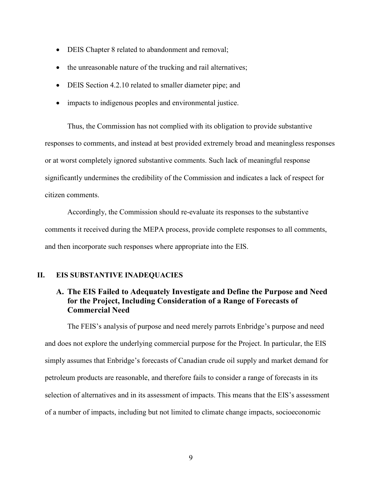- DEIS Chapter 8 related to abandonment and removal;
- the unreasonable nature of the trucking and rail alternatives;
- DEIS Section 4.2.10 related to smaller diameter pipe; and
- impacts to indigenous peoples and environmental justice.

Thus, the Commission has not complied with its obligation to provide substantive responses to comments, and instead at best provided extremely broad and meaningless responses or at worst completely ignored substantive comments. Such lack of meaningful response significantly undermines the credibility of the Commission and indicates a lack of respect for citizen comments.

 Accordingly, the Commission should re-evaluate its responses to the substantive comments it received during the MEPA process, provide complete responses to all comments, and then incorporate such responses where appropriate into the EIS.

#### **II. EIS SUBSTANTIVE INADEQUACIES**

# **A. The EIS Failed to Adequately Investigate and Define the Purpose and Need for the Project, Including Consideration of a Range of Forecasts of Commercial Need**

The FEIS's analysis of purpose and need merely parrots Enbridge's purpose and need and does not explore the underlying commercial purpose for the Project. In particular, the EIS simply assumes that Enbridge's forecasts of Canadian crude oil supply and market demand for petroleum products are reasonable, and therefore fails to consider a range of forecasts in its selection of alternatives and in its assessment of impacts. This means that the EIS's assessment of a number of impacts, including but not limited to climate change impacts, socioeconomic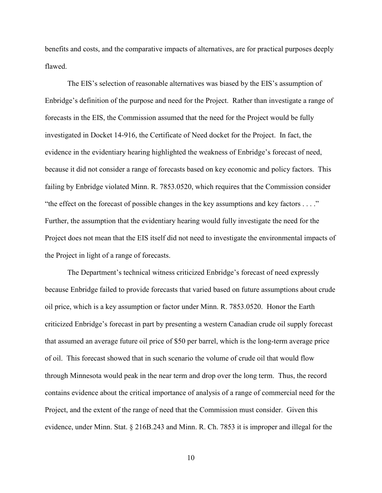benefits and costs, and the comparative impacts of alternatives, are for practical purposes deeply flawed.

The EIS's selection of reasonable alternatives was biased by the EIS's assumption of Enbridge's definition of the purpose and need for the Project. Rather than investigate a range of forecasts in the EIS, the Commission assumed that the need for the Project would be fully investigated in Docket 14-916, the Certificate of Need docket for the Project. In fact, the evidence in the evidentiary hearing highlighted the weakness of Enbridge's forecast of need, because it did not consider a range of forecasts based on key economic and policy factors. This failing by Enbridge violated Minn. R. 7853.0520, which requires that the Commission consider "the effect on the forecast of possible changes in the key assumptions and key factors . . . ." Further, the assumption that the evidentiary hearing would fully investigate the need for the Project does not mean that the EIS itself did not need to investigate the environmental impacts of the Project in light of a range of forecasts.

The Department's technical witness criticized Enbridge's forecast of need expressly because Enbridge failed to provide forecasts that varied based on future assumptions about crude oil price, which is a key assumption or factor under Minn. R. 7853.0520. Honor the Earth criticized Enbridge's forecast in part by presenting a western Canadian crude oil supply forecast that assumed an average future oil price of \$50 per barrel, which is the long-term average price of oil. This forecast showed that in such scenario the volume of crude oil that would flow through Minnesota would peak in the near term and drop over the long term. Thus, the record contains evidence about the critical importance of analysis of a range of commercial need for the Project, and the extent of the range of need that the Commission must consider. Given this evidence, under Minn. Stat. § 216B.243 and Minn. R. Ch. 7853 it is improper and illegal for the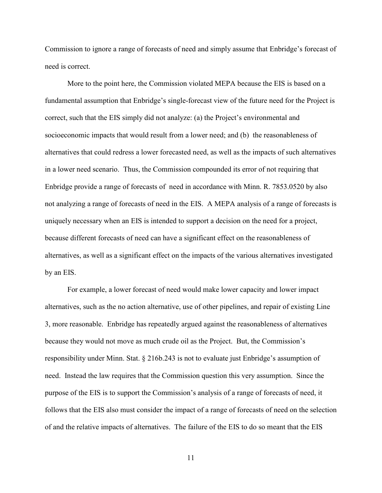Commission to ignore a range of forecasts of need and simply assume that Enbridge's forecast of need is correct.

More to the point here, the Commission violated MEPA because the EIS is based on a fundamental assumption that Enbridge's single-forecast view of the future need for the Project is correct, such that the EIS simply did not analyze: (a) the Project's environmental and socioeconomic impacts that would result from a lower need; and (b) the reasonableness of alternatives that could redress a lower forecasted need, as well as the impacts of such alternatives in a lower need scenario. Thus, the Commission compounded its error of not requiring that Enbridge provide a range of forecasts of need in accordance with Minn. R. 7853.0520 by also not analyzing a range of forecasts of need in the EIS. A MEPA analysis of a range of forecasts is uniquely necessary when an EIS is intended to support a decision on the need for a project, because different forecasts of need can have a significant effect on the reasonableness of alternatives, as well as a significant effect on the impacts of the various alternatives investigated by an EIS.

For example, a lower forecast of need would make lower capacity and lower impact alternatives, such as the no action alternative, use of other pipelines, and repair of existing Line 3, more reasonable. Enbridge has repeatedly argued against the reasonableness of alternatives because they would not move as much crude oil as the Project. But, the Commission's responsibility under Minn. Stat. § 216b.243 is not to evaluate just Enbridge's assumption of need. Instead the law requires that the Commission question this very assumption. Since the purpose of the EIS is to support the Commission's analysis of a range of forecasts of need, it follows that the EIS also must consider the impact of a range of forecasts of need on the selection of and the relative impacts of alternatives. The failure of the EIS to do so meant that the EIS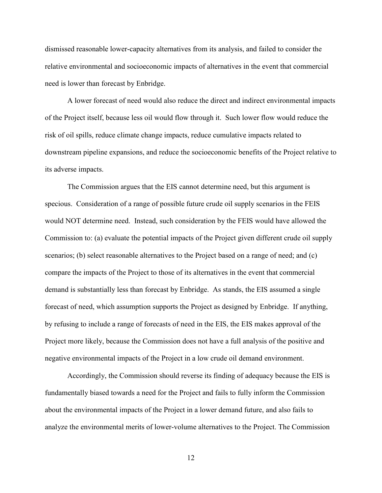dismissed reasonable lower-capacity alternatives from its analysis, and failed to consider the relative environmental and socioeconomic impacts of alternatives in the event that commercial need is lower than forecast by Enbridge.

A lower forecast of need would also reduce the direct and indirect environmental impacts of the Project itself, because less oil would flow through it. Such lower flow would reduce the risk of oil spills, reduce climate change impacts, reduce cumulative impacts related to downstream pipeline expansions, and reduce the socioeconomic benefits of the Project relative to its adverse impacts.

The Commission argues that the EIS cannot determine need, but this argument is specious. Consideration of a range of possible future crude oil supply scenarios in the FEIS would NOT determine need. Instead, such consideration by the FEIS would have allowed the Commission to: (a) evaluate the potential impacts of the Project given different crude oil supply scenarios; (b) select reasonable alternatives to the Project based on a range of need; and (c) compare the impacts of the Project to those of its alternatives in the event that commercial demand is substantially less than forecast by Enbridge. As stands, the EIS assumed a single forecast of need, which assumption supports the Project as designed by Enbridge. If anything, by refusing to include a range of forecasts of need in the EIS, the EIS makes approval of the Project more likely, because the Commission does not have a full analysis of the positive and negative environmental impacts of the Project in a low crude oil demand environment.

Accordingly, the Commission should reverse its finding of adequacy because the EIS is fundamentally biased towards a need for the Project and fails to fully inform the Commission about the environmental impacts of the Project in a lower demand future, and also fails to analyze the environmental merits of lower-volume alternatives to the Project. The Commission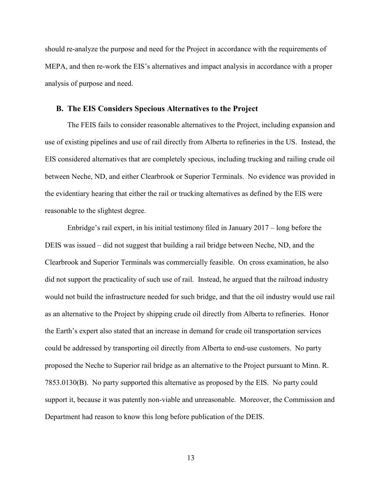should re-analyze the purpose and need for the Project in accordance with the requirements of MEPA, and then re-work the EIS's alternatives and impact analysis in accordance with a proper analysis of purpose and need.

#### **B. The EIS Considers Specious Alternatives to the Project**

The FEIS fails to consider reasonable alternatives to the Project, including expansion and use of existing pipelines and use of rail directly from Alberta to refineries in the US. Instead, the EIS considered alternatives that are completely specious, including trucking and railing crude oil between Neche, ND, and either Clearbrook or Superior Terminals. No evidence was provided in the evidentiary hearing that either the rail or trucking alternatives as defined by the EIS were reasonable to the slightest degree.

Enbridge's rail expert, in his initial testimony filed in January 2017 – long before the DEIS was issued – did not suggest that building a rail bridge between Neche, ND, and the Clearbrook and Superior Terminals was commercially feasible. On cross examination, he also did not support the practicality of such use of rail. Instead, he argued that the railroad industry would not build the infrastructure needed for such bridge, and that the oil industry would use rail as an alternative to the Project by shipping crude oil directly from Alberta to refineries. Honor the Earth's expert also stated that an increase in demand for crude oil transportation services could be addressed by transporting oil directly from Alberta to end-use customers. No party proposed the Neche to Superior rail bridge as an alternative to the Project pursuant to Minn. R. 7853.0130(B). No party supported this alternative as proposed by the EIS. No party could support it, because it was patently non-viable and unreasonable. Moreover, the Commission and Department had reason to know this long before publication of the DEIS.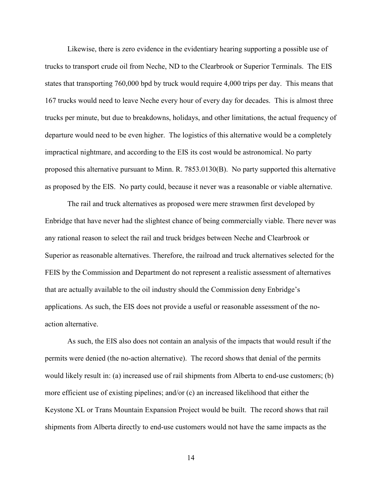Likewise, there is zero evidence in the evidentiary hearing supporting a possible use of trucks to transport crude oil from Neche, ND to the Clearbrook or Superior Terminals. The EIS states that transporting 760,000 bpd by truck would require 4,000 trips per day. This means that 167 trucks would need to leave Neche every hour of every day for decades. This is almost three trucks per minute, but due to breakdowns, holidays, and other limitations, the actual frequency of departure would need to be even higher. The logistics of this alternative would be a completely impractical nightmare, and according to the EIS its cost would be astronomical. No party proposed this alternative pursuant to Minn. R. 7853.0130(B). No party supported this alternative as proposed by the EIS. No party could, because it never was a reasonable or viable alternative.

The rail and truck alternatives as proposed were mere strawmen first developed by Enbridge that have never had the slightest chance of being commercially viable. There never was any rational reason to select the rail and truck bridges between Neche and Clearbrook or Superior as reasonable alternatives. Therefore, the railroad and truck alternatives selected for the FEIS by the Commission and Department do not represent a realistic assessment of alternatives that are actually available to the oil industry should the Commission deny Enbridge's applications. As such, the EIS does not provide a useful or reasonable assessment of the noaction alternative.

As such, the EIS also does not contain an analysis of the impacts that would result if the permits were denied (the no-action alternative). The record shows that denial of the permits would likely result in: (a) increased use of rail shipments from Alberta to end-use customers; (b) more efficient use of existing pipelines; and/or (c) an increased likelihood that either the Keystone XL or Trans Mountain Expansion Project would be built. The record shows that rail shipments from Alberta directly to end-use customers would not have the same impacts as the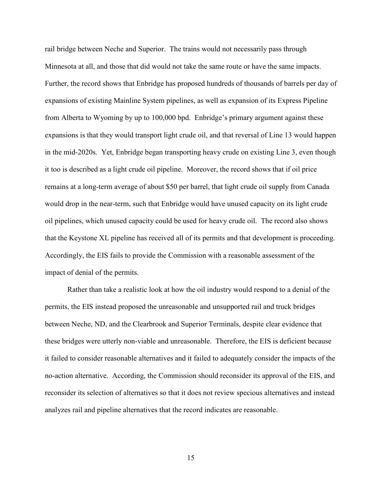rail bridge between Neche and Superior. The trains would not necessarily pass through Minnesota at all, and those that did would not take the same route or have the same impacts. Further, the record shows that Enbridge has proposed hundreds of thousands of barrels per day of expansions of existing Mainline System pipelines, as well as expansion of its Express Pipeline from Alberta to Wyoming by up to 100,000 bpd. Enbridge's primary argument against these expansions is that they would transport light crude oil, and that reversal of Line 13 would happen in the mid-2020s. Yet, Enbridge began transporting heavy crude on existing Line 3, even though it too is described as a light crude oil pipeline. Moreover, the record shows that if oil price remains at a long-term average of about \$50 per barrel, that light crude oil supply from Canada would drop in the near-term, such that Enbridge would have unused capacity on its light crude oil pipelines, which unused capacity could be used for heavy crude oil. The record also shows that the Keystone XL pipeline has received all of its permits and that development is proceeding. Accordingly, the EIS fails to provide the Commission with a reasonable assessment of the impact of denial of the permits.

Rather than take a realistic look at how the oil industry would respond to a denial of the permits, the EIS instead proposed the unreasonable and unsupported rail and truck bridges between Neche, ND, and the Clearbrook and Superior Terminals, despite clear evidence that these bridges were utterly non-viable and unreasonable. Therefore, the EIS is deficient because it failed to consider reasonable alternatives and it failed to adequately consider the impacts of the no-action alternative. According, the Commission should reconsider its approval of the EIS, and reconsider its selection of alternatives so that it does not review specious alternatives and instead analyzes rail and pipeline alternatives that the record indicates are reasonable.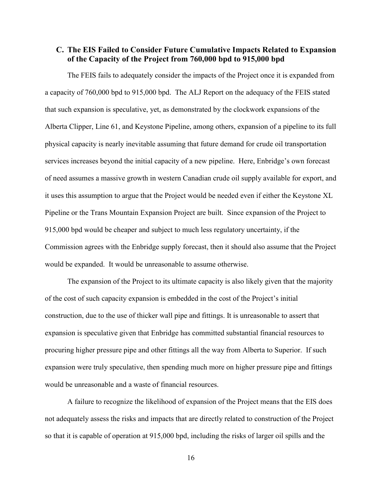# **C. The EIS Failed to Consider Future Cumulative Impacts Related to Expansion of the Capacity of the Project from 760,000 bpd to 915,000 bpd**

The FEIS fails to adequately consider the impacts of the Project once it is expanded from a capacity of 760,000 bpd to 915,000 bpd. The ALJ Report on the adequacy of the FEIS stated that such expansion is speculative, yet, as demonstrated by the clockwork expansions of the Alberta Clipper, Line 61, and Keystone Pipeline, among others, expansion of a pipeline to its full physical capacity is nearly inevitable assuming that future demand for crude oil transportation services increases beyond the initial capacity of a new pipeline. Here, Enbridge's own forecast of need assumes a massive growth in western Canadian crude oil supply available for export, and it uses this assumption to argue that the Project would be needed even if either the Keystone XL Pipeline or the Trans Mountain Expansion Project are built. Since expansion of the Project to 915,000 bpd would be cheaper and subject to much less regulatory uncertainty, if the Commission agrees with the Enbridge supply forecast, then it should also assume that the Project would be expanded. It would be unreasonable to assume otherwise.

The expansion of the Project to its ultimate capacity is also likely given that the majority of the cost of such capacity expansion is embedded in the cost of the Project's initial construction, due to the use of thicker wall pipe and fittings. It is unreasonable to assert that expansion is speculative given that Enbridge has committed substantial financial resources to procuring higher pressure pipe and other fittings all the way from Alberta to Superior. If such expansion were truly speculative, then spending much more on higher pressure pipe and fittings would be unreasonable and a waste of financial resources.

A failure to recognize the likelihood of expansion of the Project means that the EIS does not adequately assess the risks and impacts that are directly related to construction of the Project so that it is capable of operation at 915,000 bpd, including the risks of larger oil spills and the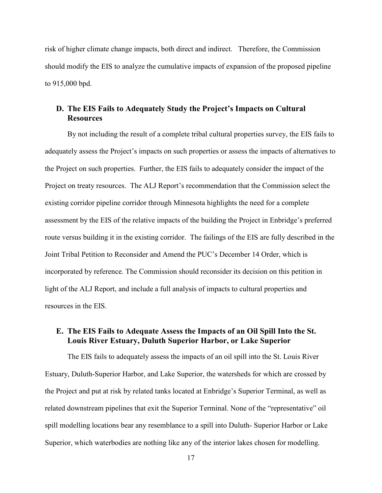risk of higher climate change impacts, both direct and indirect. Therefore, the Commission should modify the EIS to analyze the cumulative impacts of expansion of the proposed pipeline to 915,000 bpd.

# **D. The EIS Fails to Adequately Study the Project's Impacts on Cultural Resources**

By not including the result of a complete tribal cultural properties survey, the EIS fails to adequately assess the Project's impacts on such properties or assess the impacts of alternatives to the Project on such properties. Further, the EIS fails to adequately consider the impact of the Project on treaty resources. The ALJ Report's recommendation that the Commission select the existing corridor pipeline corridor through Minnesota highlights the need for a complete assessment by the EIS of the relative impacts of the building the Project in Enbridge's preferred route versus building it in the existing corridor. The failings of the EIS are fully described in the Joint Tribal Petition to Reconsider and Amend the PUC's December 14 Order, which is incorporated by reference. The Commission should reconsider its decision on this petition in light of the ALJ Report, and include a full analysis of impacts to cultural properties and resources in the EIS.

# **E. The EIS Fails to Adequate Assess the Impacts of an Oil Spill Into the St. Louis River Estuary, Duluth Superior Harbor, or Lake Superior**

The EIS fails to adequately assess the impacts of an oil spill into the St. Louis River Estuary, Duluth-Superior Harbor, and Lake Superior, the watersheds for which are crossed by the Project and put at risk by related tanks located at Enbridge's Superior Terminal, as well as related downstream pipelines that exit the Superior Terminal. None of the "representative" oil spill modelling locations bear any resemblance to a spill into Duluth- Superior Harbor or Lake Superior, which waterbodies are nothing like any of the interior lakes chosen for modelling.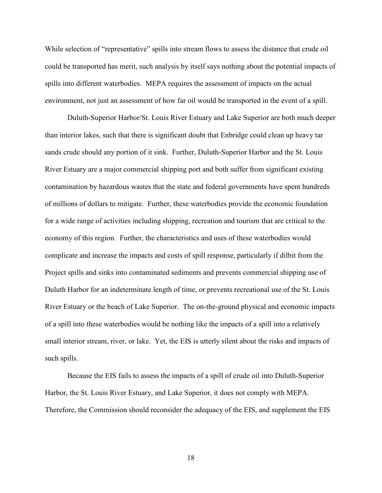While selection of "representative" spills into stream flows to assess the distance that crude oil could be transported has merit, such analysis by itself says nothing about the potential impacts of spills into different waterbodies. MEPA requires the assessment of impacts on the actual environment, not just an assessment of how far oil would be transported in the event of a spill.

Duluth-Superior Harbor/St. Louis River Estuary and Lake Superior are both much deeper than interior lakes, such that there is significant doubt that Enbridge could clean up heavy tar sands crude should any portion of it sink. Further, Duluth-Superior Harbor and the St. Louis River Estuary are a major commercial shipping port and both suffer from significant existing contamination by hazardous wastes that the state and federal governments have spent hundreds of millions of dollars to mitigate. Further, these waterbodies provide the economic foundation for a wide range of activities including shipping, recreation and tourism that are critical to the economy of this region. Further, the characteristics and uses of these waterbodies would complicate and increase the impacts and costs of spill response, particularly if dilbit from the Project spills and sinks into contaminated sediments and prevents commercial shipping use of Duluth Harbor for an indeterminate length of time, or prevents recreational use of the St. Louis River Estuary or the beach of Lake Superior. The on-the-ground physical and economic impacts of a spill into these waterbodies would be nothing like the impacts of a spill into a relatively small interior stream, river, or lake. Yet, the EIS is utterly silent about the risks and impacts of such spills.

Because the EIS fails to assess the impacts of a spill of crude oil into Duluth-Superior Harbor, the St. Louis River Estuary, and Lake Superior, it does not comply with MEPA. Therefore, the Commission should reconsider the adequacy of the EIS, and supplement the EIS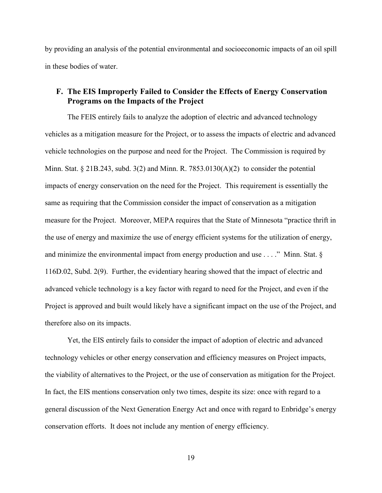by providing an analysis of the potential environmental and socioeconomic impacts of an oil spill in these bodies of water.

# **F. The EIS Improperly Failed to Consider the Effects of Energy Conservation Programs on the Impacts of the Project**

The FEIS entirely fails to analyze the adoption of electric and advanced technology vehicles as a mitigation measure for the Project, or to assess the impacts of electric and advanced vehicle technologies on the purpose and need for the Project. The Commission is required by Minn. Stat. § 21B.243, subd. 3(2) and Minn. R. 7853.0130(A)(2) to consider the potential impacts of energy conservation on the need for the Project. This requirement is essentially the same as requiring that the Commission consider the impact of conservation as a mitigation measure for the Project. Moreover, MEPA requires that the State of Minnesota "practice thrift in the use of energy and maximize the use of energy efficient systems for the utilization of energy, and minimize the environmental impact from energy production and use . . . ." Minn. Stat. § 116D.02, Subd. 2(9). Further, the evidentiary hearing showed that the impact of electric and advanced vehicle technology is a key factor with regard to need for the Project, and even if the Project is approved and built would likely have a significant impact on the use of the Project, and therefore also on its impacts.

Yet, the EIS entirely fails to consider the impact of adoption of electric and advanced technology vehicles or other energy conservation and efficiency measures on Project impacts, the viability of alternatives to the Project, or the use of conservation as mitigation for the Project. In fact, the EIS mentions conservation only two times, despite its size: once with regard to a general discussion of the Next Generation Energy Act and once with regard to Enbridge's energy conservation efforts. It does not include any mention of energy efficiency.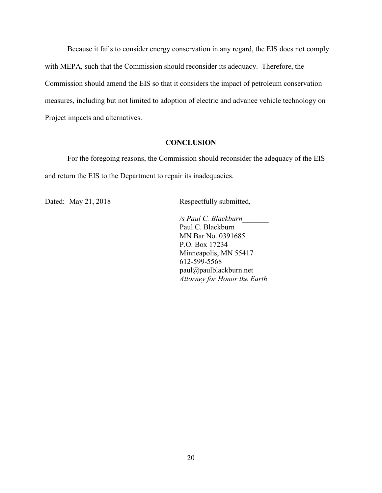Because it fails to consider energy conservation in any regard, the EIS does not comply with MEPA, such that the Commission should reconsider its adequacy. Therefore, the Commission should amend the EIS so that it considers the impact of petroleum conservation measures, including but not limited to adoption of electric and advance vehicle technology on Project impacts and alternatives.

#### **CONCLUSION**

 For the foregoing reasons, the Commission should reconsider the adequacy of the EIS and return the EIS to the Department to repair its inadequacies.

Dated: May 21, 2018 Respectfully submitted,

*/s Paul C. Blackburn\_\_\_\_\_\_\_*  Paul C. Blackburn MN Bar No. 0391685 P.O. Box 17234 Minneapolis, MN 55417 612-599-5568 paul@paulblackburn.net *Attorney for Honor the Earth*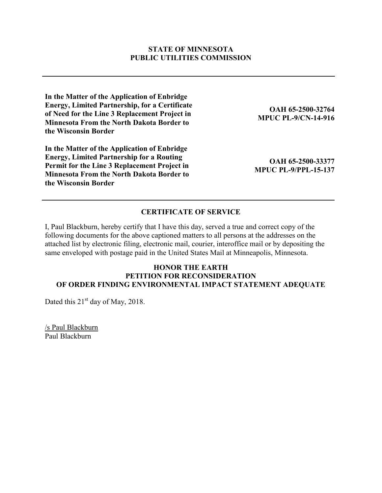#### **STATE OF MINNESOTA PUBLIC UTILITIES COMMISSION**

**In the Matter of the Application of Enbridge Energy, Limited Partnership, for a Certificate of Need for the Line 3 Replacement Project in Minnesota From the North Dakota Border to the Wisconsin Border** 

**In the Matter of the Application of Enbridge Energy, Limited Partnership for a Routing Permit for the Line 3 Replacement Project in Minnesota From the North Dakota Border to the Wisconsin Border** 

**OAH 65-2500-32764 MPUC PL-9/CN-14-916**

**OAH 65-2500-33377 MPUC PL-9/PPL-15-137** 

### **CERTIFICATE OF SERVICE**

I, Paul Blackburn, hereby certify that I have this day, served a true and correct copy of the following documents for the above captioned matters to all persons at the addresses on the attached list by electronic filing, electronic mail, courier, interoffice mail or by depositing the same enveloped with postage paid in the United States Mail at Minneapolis, Minnesota.

### **HONOR THE EARTH PETITION FOR RECONSIDERATION OF ORDER FINDING ENVIRONMENTAL IMPACT STATEMENT ADEQUATE**

Dated this  $21<sup>st</sup>$  day of May, 2018.

/s Paul Blackburn Paul Blackburn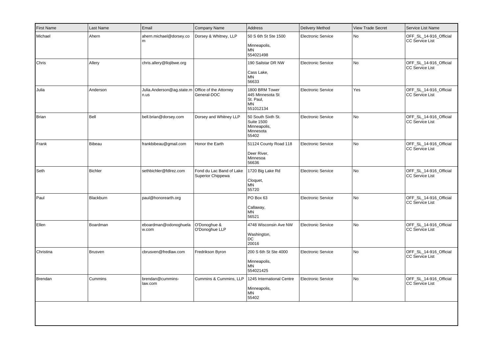| <b>First Name</b> | Last Name      | Email                             | Company Name                                  | Address                                                                       | <b>Delivery Method</b>    | <b>View Trade Secret</b> | Service List Name                                |
|-------------------|----------------|-----------------------------------|-----------------------------------------------|-------------------------------------------------------------------------------|---------------------------|--------------------------|--------------------------------------------------|
| Michael           | Ahern          | ahern.michael@dorsey.co<br>m      | Dorsey & Whitney, LLP                         | 50 S 6th St Ste 1500<br>Minneapolis,<br>MN<br>554021498                       | <b>Electronic Service</b> | <b>No</b>                | OFF_SL_14-916_Official<br><b>CC Service List</b> |
| Chris             | Allery         | chris.allery@llojibwe.org         |                                               | 190 Sailstar DR NW<br>Cass Lake,<br>MN<br>56633                               | <b>Electronic Service</b> | No                       | OFF_SL_14-916_Official<br><b>CC Service List</b> |
| Julia             | Anderson       | Julia.Anderson@ag.state.m<br>n.us | Office of the Attorney<br>General-DOC         | 1800 BRM Tower<br>445 Minnesota St<br>St. Paul,<br>MN<br>551012134            | <b>Electronic Service</b> | Yes                      | OFF_SL_14-916_Official<br>CC Service List        |
| Brian             | Bell           | bell.brian@dorsey.com             | Dorsey and Whitney LLP                        | 50 South Sixth St.<br><b>Suite 1500</b><br>Minneapolis,<br>Minnesota<br>55402 | <b>Electronic Service</b> | No                       | OFF_SL_14-916_Official<br>CC Service List        |
| Frank             | Bibeau         | frankbibeau@gmail.com             | Honor the Earth                               | 51124 County Road 118<br>Deer River,<br>Minnesoa<br>56636                     | <b>Electronic Service</b> | No                       | OFF_SL_14-916_Official<br>CC Service List        |
| Seth              | <b>Bichler</b> | sethbichler@fdlrez.com            | Fond du Lac Band of Lake<br>Superior Chippewa | 1720 Big Lake Rd<br>Cloquet,<br>MN<br>55720                                   | <b>Electronic Service</b> | No                       | OFF_SL_14-916_Official<br>CC Service List        |
| Paul              | Blackburn      | paul@honorearth.org               |                                               | PO Box 63<br>Callaway,<br>MN<br>56521                                         | <b>Electronic Service</b> | No                       | OFF_SL_14-916_Official<br><b>CC Service List</b> |
| Ellen             | Boardman       | eboardman@odonoghuela<br>w.com    | O'Donoghue &<br>O'Donoghue LLP                | 4748 Wisconsin Ave NW<br>Washington,<br>DC<br>20016                           | <b>Electronic Service</b> | <b>No</b>                | OFF_SL_14-916_Official<br>CC Service List        |
| Christina         | <b>Brusven</b> | cbrusven@fredlaw.com              | Fredrikson Byron                              | 200 S 6th St Ste 4000<br>Minneapolis,<br><b>MN</b><br>554021425               | <b>Electronic Service</b> | No                       | OFF_SL_14-916_Official<br>CC Service List        |
| Brendan           | Cummins        | brendan@cummins-<br>law.com       | Cummins & Cummins, LLP                        | 1245 International Centre<br>Minneapolis,<br>MN<br>55402                      | <b>Electronic Service</b> | No                       | OFF_SL_14-916_Official<br>CC Service List        |
|                   |                |                                   |                                               |                                                                               |                           |                          |                                                  |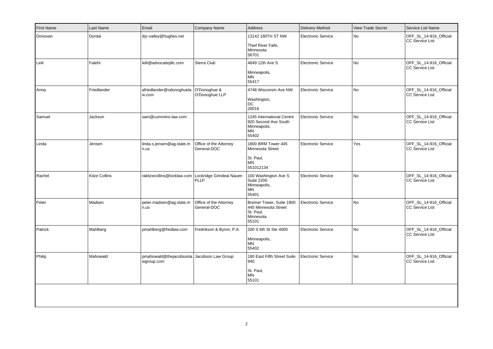| <b>First Name</b> | Last Name            | Email                                                 | Company Name                          | Address                                                                             | <b>Delivery Method</b>    | <b>View Trade Secret</b> | Service List Name                                |
|-------------------|----------------------|-------------------------------------------------------|---------------------------------------|-------------------------------------------------------------------------------------|---------------------------|--------------------------|--------------------------------------------------|
| Donovan           | Dyrdal               | dyr-valley@hughes.net                                 |                                       | 13142 180TH ST NW<br>Thief River Falls,<br>Minnesota<br>56701                       | <b>Electronic Service</b> | No                       | OFF SL 14-916 Official<br><b>CC Service List</b> |
| Leili             | Fatehi               | leili@advocatepllc.com                                | Sierra Club                           | 4849 12th Ave S<br>Minneapolis,<br>MN<br>55417                                      | <b>Electronic Service</b> | No                       | OFF_SL_14-916_Official<br><b>CC Service List</b> |
| Anna              | Friedlander          | afriedlander@odonoghuela<br>w.com                     | O'Donoghue &<br>O'Donoghue LLP        | 4748 Wisconsin Ave NW<br>Washington,<br>DC<br>20016                                 | Electronic Service        | <b>No</b>                | OFF_SL_14-916_Official<br><b>CC Service List</b> |
| Samuel            | Jackson              | sam@cummins-law.com                                   |                                       | 1245 International Centre<br>920 Second Ave South<br>Minneapolis,<br>MN<br>55402    | <b>Electronic Service</b> | No                       | OFF_SL_14-916_Official<br><b>CC Service List</b> |
| Linda             | Jensen               | linda.s.jensen@ag.state.m<br>n.us                     | Office of the Attorney<br>General-DOC | 1800 BRM Tower 445<br>Minnesota Street<br>St. Paul,<br><b>MN</b><br>551012134       | <b>Electronic Service</b> | Yes                      | OFF_SL_14-916_Official<br><b>CC Service List</b> |
| Rachel            | <b>Kitze Collins</b> | rakitzecollins@locklaw.com   Lockridge Grindeal Nauen | PLLP                                  | 100 Washington Ave S<br><b>Suite 2200</b><br>Minneapolis,<br>MN<br>55401            | <b>Electronic Service</b> | No                       | OFF_SL_14-916_Official<br><b>CC Service List</b> |
| Peter             | Madsen               | peter.madsen@ag.state.m<br>n.us                       | Office of the Attorney<br>General-DOC | Bremer Tower, Suite 1800<br>445 Minnesota Street<br>St. Paul,<br>Minnesota<br>55101 | <b>Electronic Service</b> | No                       | OFF_SL_14-916_Official<br><b>CC Service List</b> |
| Patrick           | Mahlberg             | pmahlberg@fredlaw.com                                 | Fredrikson & Byron, P.A.              | 200 S 6th St Ste 4000<br>Minneapolis,<br>MN<br>55402                                | <b>Electronic Service</b> | <b>No</b>                | OFF_SL_14-916_Official<br><b>CC Service List</b> |
| Philip            | Mahowald             | pmahowald@thejacobsonla<br>wgroup.com                 | Jacobson Law Group                    | 180 East Fifth Street Suite<br>940<br>St. Paul,<br><b>MN</b><br>55101               | <b>Electronic Service</b> | No                       | OFF_SL_14-916_Official<br><b>CC Service List</b> |
|                   |                      |                                                       |                                       |                                                                                     |                           |                          |                                                  |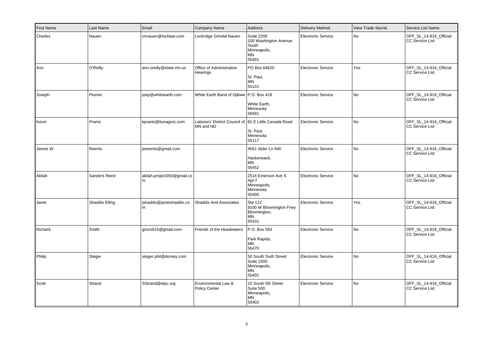| <b>First Name</b> | Last Name      | Email                           | Company Name                                                       | Address                                                                            | <b>Delivery Method</b>    | <b>View Trade Secret</b> | Service List Name                                |
|-------------------|----------------|---------------------------------|--------------------------------------------------------------------|------------------------------------------------------------------------------------|---------------------------|--------------------------|--------------------------------------------------|
| Charles           | Nauen          | cnnauen@locklaw.com             | Lockridge Grindal Nauen                                            | <b>Suite 2200</b><br>100 Washington Avenue<br>South<br>Minneapolis,<br>MN<br>55401 | Electronic Service        | <b>No</b>                | OFF_SL_14-916_Official<br><b>CC Service List</b> |
| Ann               | O'Reilly       | ann.oreilly@state.mn.us         | Office of Administrative<br>Hearings                               | PO Box 64620<br>St. Paul,<br><b>MN</b><br>55101                                    | Electronic Service        | Yes                      | OFF_SL_14-916_Official<br><b>CC Service List</b> |
| Joseph            | Plumer         | joep@whiteearth.com             | White Earth Band of Ojibwe P.O. Box 418                            | White Earth,<br>Minnesota<br>56591                                                 | Electronic Service        | <b>No</b>                | OFF_SL_14-916_Official<br><b>CC Service List</b> |
| Kevin             | Pranis         | kpranis@liunagroc.com           | Laborers' District Council of 81 E Little Canada Road<br>MN and ND | St. Paul,<br>Minnesota<br>55117                                                    | Electronic Service        | N <sub>o</sub>           | OFF_SL_14-916_Official<br><b>CC Service List</b> |
| James W.          | Reents         | jwreents@gmail.com              |                                                                    | 4561 Alder Ln NW<br>Hackensack,<br>MN<br>56452                                     | <b>Electronic Service</b> | <b>No</b>                | OFF_SL_14-916_Official<br><b>CC Service List</b> |
| Akilah            | Sanders Reed   | akilah.project350@gmail.co<br>m |                                                                    | 2514 Emerson Ave S<br>Apt 7<br>Minneapolis,<br>Minnesota<br>55405                  | <b>Electronic Service</b> | N <sub>o</sub>           | OFF SL 14-916 Official<br><b>CC Service List</b> |
| Janet             | Shaddix Elling | jshaddix@janetshaddix.co<br>m   | <b>Shaddix And Associates</b>                                      | Ste 122<br>9100 W Bloomington Frwy<br>Bloomington,<br><b>MN</b><br>55431           | <b>Electronic Service</b> | Yes                      | OFF_SL_14-916_Official<br><b>CC Service List</b> |
| Richard           | Smith          | grizrs615@gmail.com             | Friends of the Headwaters                                          | P.O. Box 583<br>Park Rapids,<br>MN<br>56470                                        | <b>Electronic Service</b> | <b>No</b>                | OFF_SL_14-916_Official<br><b>CC Service List</b> |
| Philip            | Steger         | steger.phil@dorsey.com          |                                                                    | 50 South Sixth Street<br><b>Suite 1500</b><br>Minneapolis,<br><b>MN</b><br>55402   | <b>Electronic Service</b> | <b>No</b>                | OFF_SL_14-916_Official<br><b>CC Service List</b> |
| Scott             | Strand         | SStrand@elpc.org                | Environmental Law &<br><b>Policy Center</b>                        | 15 South 5th Street<br>Suite 500<br>Minneapolis,<br>MN<br>55402                    | <b>Electronic Service</b> | <b>No</b>                | OFF_SL_14-916_Official<br><b>CC Service List</b> |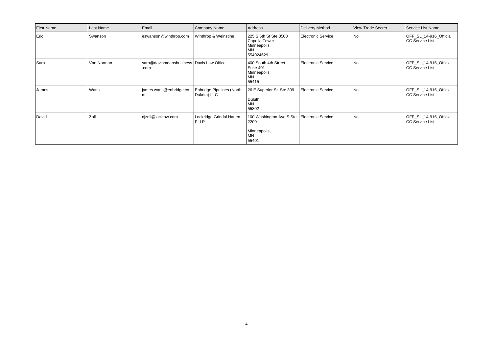| First Name   | Last Name  | Email                                            | <b>Company Name</b>                             | Address                                                                              | Delivery Method    | View Trade Secret | Service List Name                                 |
|--------------|------------|--------------------------------------------------|-------------------------------------------------|--------------------------------------------------------------------------------------|--------------------|-------------------|---------------------------------------------------|
| Eric         | Swanson    | eswanson@winthrop.com                            | Winthrop & Weinstine                            | 225 S 6th St Ste 3500<br>Capella Tower<br>Minneapolis,<br>MN<br>554024629            | Electronic Service | l No              | OFF_SL_14-916_Official<br>CC Service List         |
| <b>S</b> ara | Van Norman | sara@davismeansbusiness Davis Law Office<br>.com |                                                 | 400 South 4th Street<br>Suite 401<br>Minneapolis,<br>MN<br>55415                     | Electronic Service | l No              | OFF_SL_14-916_Official<br><b>CC Service List</b>  |
| James        | Watts      | james.watts@enbridge.co                          | <b>Enbridge Pipelines (North</b><br>Dakota) LLC | 26 E Superior St Ste 309<br>Duluth,<br>MN<br>55802                                   | Electronic Service | No                | OFF_SL_14-916_Official<br><b>ICC Service List</b> |
| David        | Zoll       | dizoll@locklaw.com                               | Lockridge Grindal Nauen<br><b>PLLP</b>          | 100 Washington Ave S Ste   Electronic Service<br>2200<br>Minneapolis,<br>MN<br>55401 |                    | l No              | OFF_SL_14-916_Official<br>CC Service List         |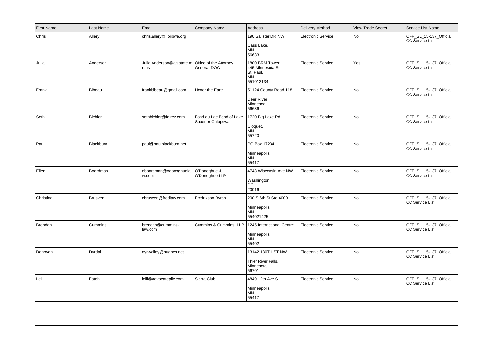| <b>First Name</b> | Last Name      | Email                                                    | Company Name                                  | <b>Address</b>                                                            | <b>Delivery Method</b>    | <b>View Trade Secret</b> | Service List Name                                |
|-------------------|----------------|----------------------------------------------------------|-----------------------------------------------|---------------------------------------------------------------------------|---------------------------|--------------------------|--------------------------------------------------|
| Chris             | Allery         | chris.allery@llojibwe.org                                |                                               | 190 Sailstar DR NW<br>Cass Lake,<br>MN<br>56633                           | <b>Electronic Service</b> | <b>No</b>                | OFF_SL_15-137_Official<br>CC Service List        |
| Julia             | Anderson       | Julia.Anderson@ag.state.m Office of the Attorney<br>n.us | General-DOC                                   | 1800 BRM Tower<br>445 Minnesota St<br>St. Paul,<br><b>MN</b><br>551012134 | <b>Electronic Service</b> | Yes                      | OFF_SL_15-137_Official<br>CC Service List        |
| Frank             | Bibeau         | frankbibeau@gmail.com                                    | Honor the Earth                               | 51124 County Road 118<br>Deer River,<br>Minnesoa<br>56636                 | <b>Electronic Service</b> | <b>No</b>                | OFF_SL_15-137_Official<br>CC Service List        |
| Seth              | Bichler        | sethbichler@fdlrez.com                                   | Fond du Lac Band of Lake<br>Superior Chippewa | 1720 Big Lake Rd<br>Cloquet,<br><b>MN</b><br>55720                        | <b>Electronic Service</b> | No                       | OFF_SL_15-137_Official<br>CC Service List        |
| Paul              | Blackburn      | paul@paulblackburn.net                                   |                                               | PO Box 17234<br>Minneapolis,<br><b>MN</b><br>55417                        | <b>Electronic Service</b> | No                       | OFF_SL_15-137_Official<br><b>CC Service List</b> |
| Ellen             | Boardman       | eboardman@odonoghuela<br>w.com                           | O'Donoghue &<br>O'Donoghue LLP                | 4748 Wisconsin Ave NW<br>Washington,<br>DC<br>20016                       | <b>Electronic Service</b> | No                       | OFF SL 15-137 Official<br><b>CC Service List</b> |
| Christina         | <b>Brusven</b> | cbrusven@fredlaw.com                                     | Fredrikson Byron                              | 200 S 6th St Ste 4000<br>Minneapolis,<br><b>MN</b><br>554021425           | <b>Electronic Service</b> | No                       | OFF_SL_15-137_Official<br>CC Service List        |
| Brendan           | Cummins        | brendan@cummins-<br>law.com                              | Cummins & Cummins, LLP                        | 1245 International Centre<br>Minneapolis,<br><b>MN</b><br>55402           | <b>Electronic Service</b> | No                       | OFF_SL_15-137_Official<br>CC Service List        |
| Donovan           | Dyrdal         | dyr-valley@hughes.net                                    |                                               | 13142 180TH ST NW<br>Thief River Falls,<br>Minnesota<br>56701             | <b>Electronic Service</b> | N <sub>o</sub>           | OFF_SL_15-137_Official<br><b>CC Service List</b> |
| Leili             | Fatehi         | leili@advocatepllc.com                                   | Sierra Club                                   | 4849 12th Ave S<br>Minneapolis,<br>ΜN<br>55417                            | <b>Electronic Service</b> | No                       | OFF_SL_15-137_Official<br><b>CC Service List</b> |
|                   |                |                                                          |                                               |                                                                           |                           |                          |                                                  |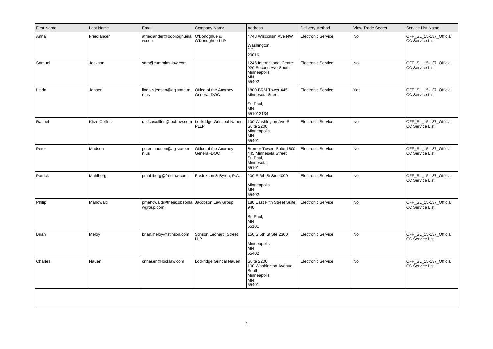| <b>First Name</b> | Last Name            | Email                                                    | Company Name                           | <b>Address</b>                                                                            | <b>Delivery Method</b>    | <b>View Trade Secret</b> | Service List Name                                |
|-------------------|----------------------|----------------------------------------------------------|----------------------------------------|-------------------------------------------------------------------------------------------|---------------------------|--------------------------|--------------------------------------------------|
| Anna              | Friedlander          | afriedlander@odonoghuela<br>w.com                        | O'Donoghue &<br>O'Donoghue LLP         | 4748 Wisconsin Ave NW<br>Washington,<br>DC<br>20016                                       | <b>Electronic Service</b> | No                       | OFF SL 15-137 Official<br><b>CC Service List</b> |
| Samuel            | Jackson              | sam@cummins-law.com                                      |                                        | 1245 International Centre<br>920 Second Ave South<br>Minneapolis,<br>ΜN<br>55402          | Electronic Service        | No                       | OFF_SL_15-137_Official<br><b>CC Service List</b> |
| Linda             | Jensen               | linda.s.jensen@ag.state.m<br>n.us                        | Office of the Attorney<br>General-DOC  | 1800 BRM Tower 445<br>Minnesota Street<br>St. Paul,<br><b>MN</b><br>551012134             | <b>Electronic Service</b> | Yes                      | OFF_SL_15-137_Official<br><b>CC Service List</b> |
| Rachel            | <b>Kitze Collins</b> | rakitzecollins@locklaw.com   Lockridge Grindeal Nauen    | <b>PLLP</b>                            | 100 Washington Ave S<br><b>Suite 2200</b><br>Minneapolis,<br>MN<br>55401                  | <b>Electronic Service</b> | No                       | OFF_SL_15-137_Official<br><b>CC Service List</b> |
| Peter             | Madsen               | peter.madsen@ag.state.m<br>n.us                          | Office of the Attorney<br>General-DOC  | Bremer Tower, Suite 1800<br>445 Minnesota Street<br>St. Paul,<br>Minnesota<br>55101       | <b>Electronic Service</b> | <b>No</b>                | OFF_SL_15-137_Official<br><b>CC Service List</b> |
| Patrick           | Mahlberg             | pmahlberg@fredlaw.com                                    | Fredrikson & Byron, P.A.               | 200 S 6th St Ste 4000<br>Minneapolis,<br><b>MN</b><br>55402                               | <b>Electronic Service</b> | No                       | OFF SL 15-137 Official<br><b>CC Service List</b> |
| Philip            | Mahowald             | pmahowald@thejacobsonla Jacobson Law Group<br>wgroup.com |                                        | 180 East Fifth Street Suite<br>940<br>St. Paul,<br>ΜN<br>55101                            | <b>Electronic Service</b> | No                       | OFF_SL_15-137_Official<br><b>CC Service List</b> |
| Brian             | Meloy                | brian.meloy@stinson.com                                  | Stinson, Leonard, Street<br><b>LLP</b> | 150 S 5th St Ste 2300<br>Minneapolis,<br>ΜN<br>55402                                      | <b>Electronic Service</b> | No                       | OFF_SL_15-137_Official<br><b>CC Service List</b> |
| Charles           | Nauen                | cnnauen@locklaw.com                                      | Lockridge Grindal Nauen                | <b>Suite 2200</b><br>100 Washington Avenue<br>South<br>Minneapolis,<br><b>MN</b><br>55401 | <b>Electronic Service</b> | No                       | OFF_SL_15-137_Official<br><b>CC Service List</b> |
|                   |                      |                                                          |                                        |                                                                                           |                           |                          |                                                  |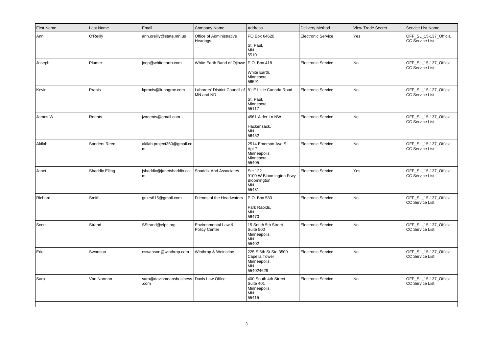| <b>First Name</b> | Last Name      | Email                                              | Company Name                                                       | Address                                                                   | <b>Delivery Method</b>    | <b>View Trade Secret</b> | Service List Name                                |
|-------------------|----------------|----------------------------------------------------|--------------------------------------------------------------------|---------------------------------------------------------------------------|---------------------------|--------------------------|--------------------------------------------------|
| Ann               | O'Reilly       | ann.oreilly@state.mn.us                            | Office of Administrative<br>Hearings                               | PO Box 64620<br>St. Paul,<br><b>MN</b><br>55101                           | <b>Electronic Service</b> | Yes                      | OFF_SL_15-137_Official<br><b>CC Service List</b> |
| Joseph            | Plumer         | joep@whiteearth.com                                | White Earth Band of Ojibwe   P.O. Box 418                          | White Earth,<br>Minnesota<br>56591                                        | <b>Electronic Service</b> | No                       | OFF_SL_15-137_Official<br><b>CC Service List</b> |
| Kevin             | Pranis         | kpranis@liunagroc.com                              | Laborers' District Council of 81 E Little Canada Road<br>MN and ND | St. Paul,<br>Minnesota<br>55117                                           | Electronic Service        | <b>No</b>                | OFF_SL_15-137_Official<br><b>CC Service List</b> |
| James W.          | Reents         | jwreents@gmail.com                                 |                                                                    | 4561 Alder Ln NW<br>Hackensack,<br>MN<br>56452                            | <b>Electronic Service</b> | No                       | OFF_SL_15-137_Official<br><b>CC Service List</b> |
| Akilah            | Sanders Reed   | akilah.project350@gmail.co<br>m                    |                                                                    | 2514 Emerson Ave S<br>Apt 7<br>Minneapolis,<br>Minnesota<br>55405         | <b>Electronic Service</b> | <b>No</b>                | OFF_SL_15-137_Official<br><b>CC Service List</b> |
| Janet             | Shaddix Elling | shaddix@janetshaddix.co<br>m                       | <b>Shaddix And Associates</b>                                      | Ste 122<br>9100 W Bloomington Frwy<br>Bloomington,<br><b>MN</b><br>55431  | <b>Electronic Service</b> | Yes                      | OFF_SL_15-137_Official<br><b>CC Service List</b> |
| Richard           | Smith          | grizrs615@gmail.com                                | Friends of the Headwaters                                          | P.O. Box 583<br>Park Rapids,<br><b>MN</b><br>56470                        | <b>Electronic Service</b> | <b>No</b>                | OFF_SL_15-137_Official<br><b>CC Service List</b> |
| Scott             | Strand         | SStrand@elpc.org                                   | Environmental Law &<br><b>Policy Center</b>                        | 15 South 5th Street<br>Suite 500<br>Minneapolis,<br><b>MN</b><br>55402    | <b>Electronic Service</b> | N <sub>o</sub>           | OFF_SL_15-137_Official<br><b>CC Service List</b> |
| Eric              | Swanson        | eswanson@winthrop.com                              | Winthrop & Weinstine                                               | 225 S 6th St Ste 3500<br>Capella Tower<br>Minneapolis,<br>MN<br>554024629 | <b>Electronic Service</b> | <b>No</b>                | OFF_SL_15-137_Official<br><b>CC Service List</b> |
| Sara              | Van Norman     | sara@davismeansbusiness   Davis Law Office<br>.com |                                                                    | 400 South 4th Street<br>Suite 401<br>Minneapolis,<br>MN<br>55415          | <b>Electronic Service</b> | No                       | OFF_SL_15-137_Official<br><b>CC Service List</b> |